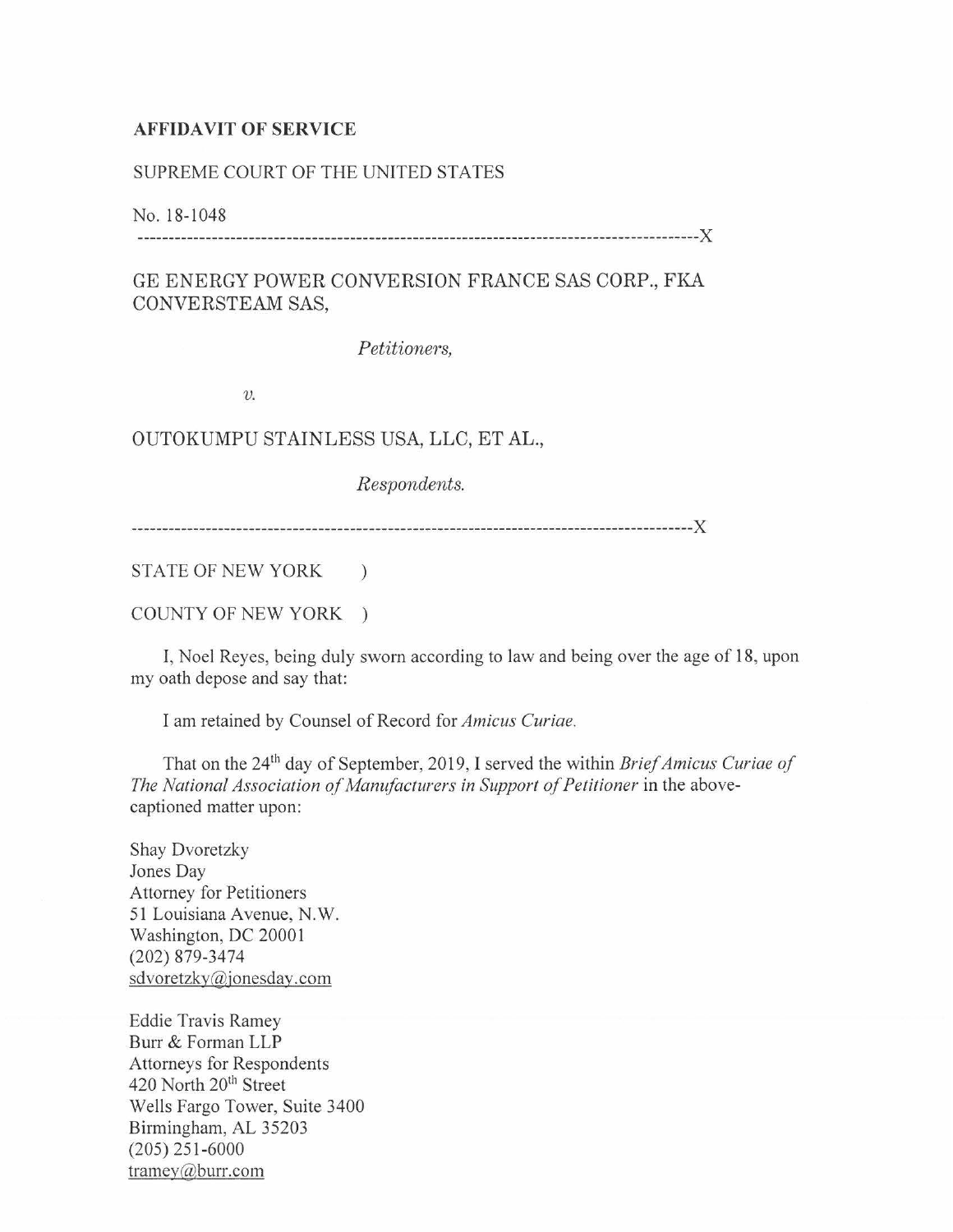## **AFFIDAVIT OF SERVICE**

## SUPREME COURT OF THE UNITED STATES

No. 18-1048

------------------------------------------------------------------------------------------)(

## GE ENERGY POWER CONVERSION FRANCE SAS CORP., FKA CONVERSTEAM SAS,

*Petitioners,* 

*v.* 

OUTOKUMPU STAINLESS USA, LLC, ET AL.,

*Respondents.* 

------------------------------------------------------------------------------------------)(

STATE OF NEW YORK )

COUNTY OF NEW YORK )

I, Noel Reyes, being duly sworn according to Jaw and being over the age of 18, upon my oath depose and say that:

I am retained by Counsel of Record for *Amicus Curiae.* 

That on the 24th day of September, 2019, I served the within *Brief Amicus Curiae of The National Association of Manufacturers in Support of Petitioner* in the abovecaptioned matter upon:

Shay Dvoretzky Jones Day Attorney for Petitioners 51 Louisiana Avenue, N.W. Washington, DC 20001 (202) 879-3474 sdvoretzky@jonesday.com

Eddie Travis Ramey Burr & Forman LLP Attorneys for Respondents 420 North 20<sup>th</sup> Street Wells Fargo Tower, Suite 3400 Birmingham, AL 35203 (205) 251-6000 tramey@burr.com